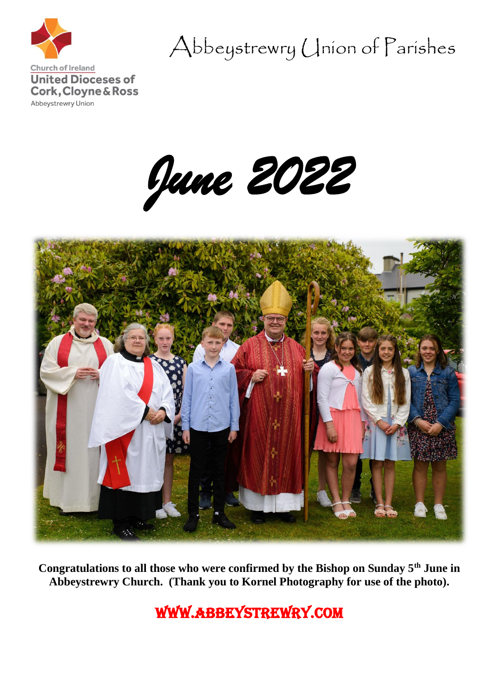

Abbeystrewry Union of Parishes

*June 2022* 



**Congratulations to all those who were confirmed by the Bishop on Sunday 5th June in Abbeystrewry Church. (Thank you to Kornel Photography for use of the photo).**

www.abbeystrewry.com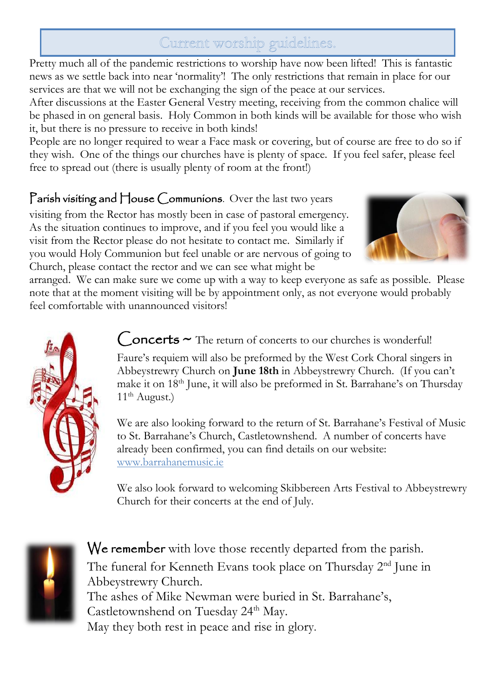# Current worship guidelines.

Pretty much all of the pandemic restrictions to worship have now been lifted! This is fantastic news as we settle back into near 'normality'! The only restrictions that remain in place for our services are that we will not be exchanging the sign of the peace at our services.

After discussions at the Easter General Vestry meeting, receiving from the common chalice will be phased in on general basis. Holy Common in both kinds will be available for those who wish it, but there is no pressure to receive in both kinds!

People are no longer required to wear a Face mask or covering, but of course are free to do so if they wish. One of the things our churches have is plenty of space. If you feel safer, please feel free to spread out (there is usually plenty of room at the front!)

Parish visiting and House Communions. Over the last two years visiting from the Rector has mostly been in case of pastoral emergency. As the situation continues to improve, and if you feel you would like a visit from the Rector please do not hesitate to contact me. Similarly if you would Holy Communion but feel unable or are nervous of going to Church, please contact the rector and we can see what might be

 $11<sup>th</sup>$  August.)



arranged. We can make sure we come up with a way to keep everyone as safe as possible. Please note that at the moment visiting will be by appointment only, as not everyone would probably feel comfortable with unannounced visitors!



 $Concerts \sim$  The return of concerts to our churches is wonderful! Faure's requiem will also be preformed by the West Cork Choral singers in Abbeystrewry Church on **June 18th** in Abbeystrewry Church. (If you can't make it on 18<sup>th</sup> June, it will also be preformed in St. Barrahane's on Thursday

We are also looking forward to the return of St. Barrahane's Festival of Music to St. Barrahane's Church, Castletownshend. A number of concerts have already been confirmed, you can find details on our website: [www.barrahanemusic.ie](http://www.barrahanemusic.ie/)

We also look forward to welcoming Skibbereen Arts Festival to Abbeystrewry Church for their concerts at the end of July.



We remember with love those recently departed from the parish. The funeral for Kenneth Evans took place on Thursday 2<sup>nd</sup> June in Abbeystrewry Church. The ashes of Mike Newman were buried in St. Barrahane's, Castletownshend on Tuesday 24<sup>th</sup> May. May they both rest in peace and rise in glory.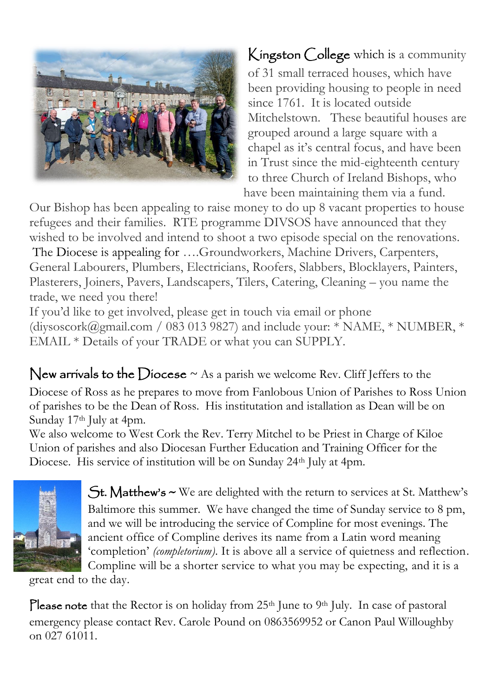

Kingston College which is a community of 31 small terraced houses, which have been providing housing to people in need since 1761. It is located outside Mitchelstown. These beautiful houses are grouped around a large square with a chapel as it's central focus, and have been in Trust since the mid-eighteenth century to three Church of Ireland Bishops, who have been maintaining them via a fund.

Our Bishop has been appealing to raise money to do up 8 vacant properties to house refugees and their families. RTE programme DIVSOS have announced that they wished to be involved and intend to shoot a two episode special on the renovations. The Diocese is appealing for ….Groundworkers, Machine Drivers, Carpenters,

General Labourers, Plumbers, Electricians, Roofers, Slabbers, Blocklayers, Painters, Plasterers, Joiners, Pavers, Landscapers, Tilers, Catering, Cleaning – you name the trade, we need you there!

If you'd like to get involved, please get in touch via email or phone (diysoscork@gmail.com / 083 013 9827) and include your: \* NAME, \* NUMBER, \* EMAIL \* Details of your TRADE or what you can SUPPLY.

# New arrivals to the Diocese  $\sim$  As a parish we welcome Rev. Cliff Jeffers to the

Diocese of Ross as he prepares to move from Fanlobous Union of Parishes to Ross Union of parishes to be the Dean of Ross. His institutation and istallation as Dean will be on Sunday 17<sup>th</sup> July at 4pm.

We also welcome to West Cork the Rev. Terry Mitchel to be Priest in Charge of Kiloe Union of parishes and also Diocesan Further Education and Training Officer for the Diocese. His service of institution will be on Sunday 24<sup>th</sup> July at 4pm.



St. Matthew's ~ We are delighted with the return to services at St. Matthew's Baltimore this summer. We have changed the time of Sunday service to 8 pm, and we will be introducing the service of Compline for most evenings. The ancient office of Compline derives its name from a Latin word meaning 'completion' *(completorium)*. It is above all a service of quietness and reflection. Compline will be a shorter service to what you may be expecting, and it is a

great end to the day.

Please note that the Rector is on holiday from 25<sup>th</sup> June to 9<sup>th</sup> July. In case of pastoral emergency please contact Rev. Carole Pound on 0863569952 or Canon Paul Willoughby on 027 61011.